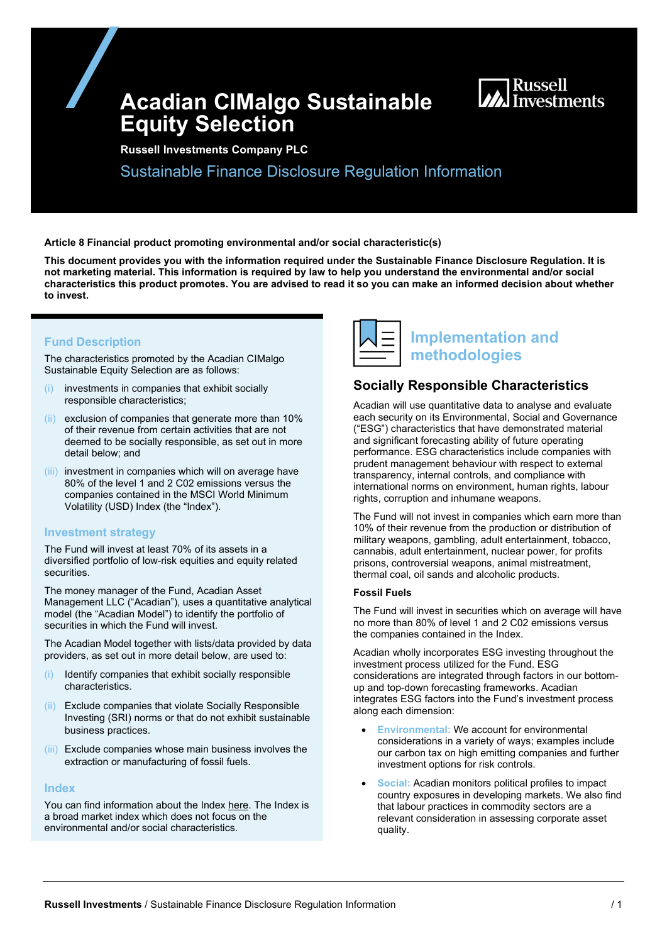# **Acadian CIMalgo Sustainable Equity Selection**



**Russell Investments Company PLC**

Sustainable Finance Disclosure Regulation Information

**Article 8 Financial product promoting environmental and/or social characteristic(s)** 

**This document provides you with the information required under the Sustainable Finance Disclosure Regulation. It is not marketing material. This information is required by law to help you understand the environmental and/or social characteristics this product promotes. You are advised to read it so you can make an informed decision about whether to invest.**

### **Fund Description**

The characteristics promoted by the Acadian CIMalgo Sustainable Equity Selection are as follows:

- investments in companies that exhibit socially responsible characteristics;
- (ii) exclusion of companies that generate more than 10% of their revenue from certain activities that are not deemed to be socially responsible, as set out in more detail below; and
- (iii) investment in companies which will on average have 80% of the level 1 and 2 C02 emissions versus the companies contained in the MSCI World Minimum Volatility (USD) Index (the "Index").

#### **Investment strategy**

The Fund will invest at least 70% of its assets in a diversified portfolio of low-risk equities and equity related securities.

The money manager of the Fund, Acadian Asset Management LLC ("Acadian"), uses a quantitative analytical model (the "Acadian Model") to identify the portfolio of securities in which the Fund will invest.

The Acadian Model together with lists/data provided by data providers, as set out in more detail below, are used to:

- (i) Identify companies that exhibit socially responsible characteristics.
- (ii) Exclude companies that violate Socially Responsible Investing (SRI) norms or that do not exhibit sustainable business practices.
- (iii) Exclude companies whose main business involves the extraction or manufacturing of fossil fuels.

#### **Index**

You can find information about the Index [here.](https://www.msci.com/msci-minimum-volatility-indexes) The Index is a broad market index which does not focus on the environmental and/or social characteristics.



# **Implementation and methodologies**

## **Socially Responsible Characteristics**

Acadian will use quantitative data to analyse and evaluate each security on its Environmental, Social and Governance ("ESG") characteristics that have demonstrated material and significant forecasting ability of future operating performance. ESG characteristics include companies with prudent management behaviour with respect to external transparency, internal controls, and compliance with international norms on environment, human rights, labour rights, corruption and inhumane weapons.

The Fund will not invest in companies which earn more than 10% of their revenue from the production or distribution of military weapons, gambling, adult entertainment, tobacco, cannabis, adult entertainment, nuclear power, for profits prisons, controversial weapons, animal mistreatment, thermal coal, oil sands and alcoholic products.

#### **Fossil Fuels**

The Fund will invest in securities which on average will have no more than 80% of level 1 and 2 C02 emissions versus the companies contained in the Index.

Acadian wholly incorporates ESG investing throughout the investment process utilized for the Fund. ESG considerations are integrated through factors in our bottomup and top-down forecasting frameworks. Acadian integrates ESG factors into the Fund's investment process along each dimension:

- **Environmental:** We account for environmental considerations in a variety of ways; examples include our carbon tax on high emitting companies and further investment options for risk controls.
- **Social:** Acadian monitors political profiles to impact country exposures in developing markets. We also find that labour practices in commodity sectors are a relevant consideration in assessing corporate asset quality.